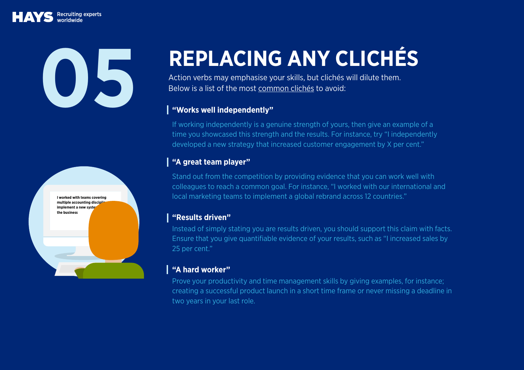Recruiting experts



# **REPLACING ANY CLICHÉS 15 ACING ANY CLICHÉ**<br>Action verbs may emphasise your skills, but clichés will dilute them.<br>Below is a list of the most <u>common clichés</u> to avoid:<br>I "Works well independently"

Below is a list of the most [common clichés](https://social.hays.com/2017/10/02/cv-cliches-avoid/) to avoid:

## **"Works well independently"**

If working independently is a genuine strength of yours, then give an example of a time you showcased this strength and the results. For instance, try "I independently developed a new strategy that increased customer engagement by X per cent."

# **"A great team player"**

Stand out from the competition by providing evidence that you can work well with colleagues to reach a common goal. For instance, "I worked with our international and local marketing teams to implement a global rebrand across 12 countries."

### **"Results driven"**

Instead of simply stating you are results driven, you should support this claim with facts. Ensure that you give quantifiable evidence of your results, such as "I increased sales by 25 per cent."

# **"A hard worker"**

Prove your productivity and time management skills by giving examples, for instance; creating a successful product launch in a short time frame or never missing a deadline in two years in your last role.